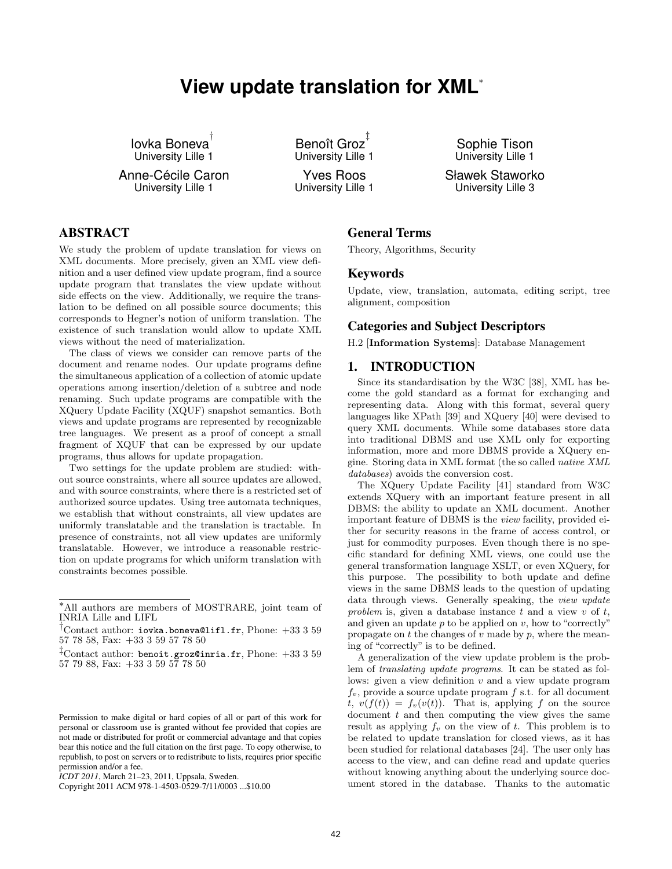# **View update translation for XML**<sup>∗</sup>

Iovka Boneva † University Lille 1 Anne-Cécile Caron

University Lille 1

Benoît Groz ‡ University Lille 1

Yves Roos University Lille 1

Sophie Tison University Lille 1

Sławek Staworko University Lille 3

# ABSTRACT

We study the problem of update translation for views on XML documents. More precisely, given an XML view definition and a user defined view update program, find a source update program that translates the view update without side effects on the view. Additionally, we require the translation to be defined on all possible source documents; this corresponds to Hegner's notion of uniform translation. The existence of such translation would allow to update XML views without the need of materialization.

The class of views we consider can remove parts of the document and rename nodes. Our update programs define the simultaneous application of a collection of atomic update operations among insertion/deletion of a subtree and node renaming. Such update programs are compatible with the XQuery Update Facility (XQUF) snapshot semantics. Both views and update programs are represented by recognizable tree languages. We present as a proof of concept a small fragment of XQUF that can be expressed by our update programs, thus allows for update propagation.

Two settings for the update problem are studied: without source constraints, where all source updates are allowed, and with source constraints, where there is a restricted set of authorized source updates. Using tree automata techniques, we establish that without constraints, all view updates are uniformly translatable and the translation is tractable. In presence of constraints, not all view updates are uniformly translatable. However, we introduce a reasonable restriction on update programs for which uniform translation with constraints becomes possible.

### General Terms

Theory, Algorithms, Security

#### Keywords

Update, view, translation, automata, editing script, tree alignment, composition

## Categories and Subject Descriptors

H.2 [Information Systems]: Database Management

## 1. INTRODUCTION

Since its standardisation by the W3C [38], XML has become the gold standard as a format for exchanging and representing data. Along with this format, several query languages like XPath [39] and XQuery [40] were devised to query XML documents. While some databases store data into traditional DBMS and use XML only for exporting information, more and more DBMS provide a XQuery engine. Storing data in XML format (the so called native XML databases) avoids the conversion cost.

The XQuery Update Facility [41] standard from W3C extends XQuery with an important feature present in all DBMS: the ability to update an XML document. Another important feature of DBMS is the view facility, provided either for security reasons in the frame of access control, or just for commodity purposes. Even though there is no specific standard for defining XML views, one could use the general transformation language XSLT, or even XQuery, for this purpose. The possibility to both update and define views in the same DBMS leads to the question of updating data through views. Generally speaking, the view update problem is, given a database instance  $t$  and a view  $v$  of  $t$ . and given an update  $p$  to be applied on  $v$ , how to "correctly" propagate on  $t$  the changes of  $v$  made by  $p$ , where the meaning of "correctly" is to be defined.

A generalization of the view update problem is the problem of translating update programs. It can be stated as follows: given a view definition  $v$  and a view update program  $f_v$ , provide a source update program f s.t. for all document  $t, v(f(t)) = f_v(v(t))$ . That is, applying f on the source document  $t$  and then computing the view gives the same result as applying  $f_v$  on the view of t. This problem is to be related to update translation for closed views, as it has been studied for relational databases [24]. The user only has access to the view, and can define read and update queries without knowing anything about the underlying source document stored in the database. Thanks to the automatic

<sup>∗</sup>All authors are members of MOSTRARE, joint team of INRIA Lille and LIFL

 $\textsf{1}^\intercal \textsf{Constant}$  contact author: iovka.boneva@lifl.fr, Phone:  $+33\ 3\ 59$ 57 78 58, Fax: +33 3 59 57 78 50

 $\ddagger$ Contact author: benoit.groz@inria.fr, Phone: +33 3 59 57 79 88, Fax: +33 3 59 57 78 50

Permission to make digital or hard copies of all or part of this work for personal or classroom use is granted without fee provided that copies are not made or distributed for profit or commercial advantage and that copies bear this notice and the full citation on the first page. To copy otherwise, to republish, to post on servers or to redistribute to lists, requires prior specific permission and/or a fee.

*ICDT 2011*, March 21–23, 2011, Uppsala, Sweden.

Copyright 2011 ACM 978-1-4503-0529-7/11/0003 ...\$10.00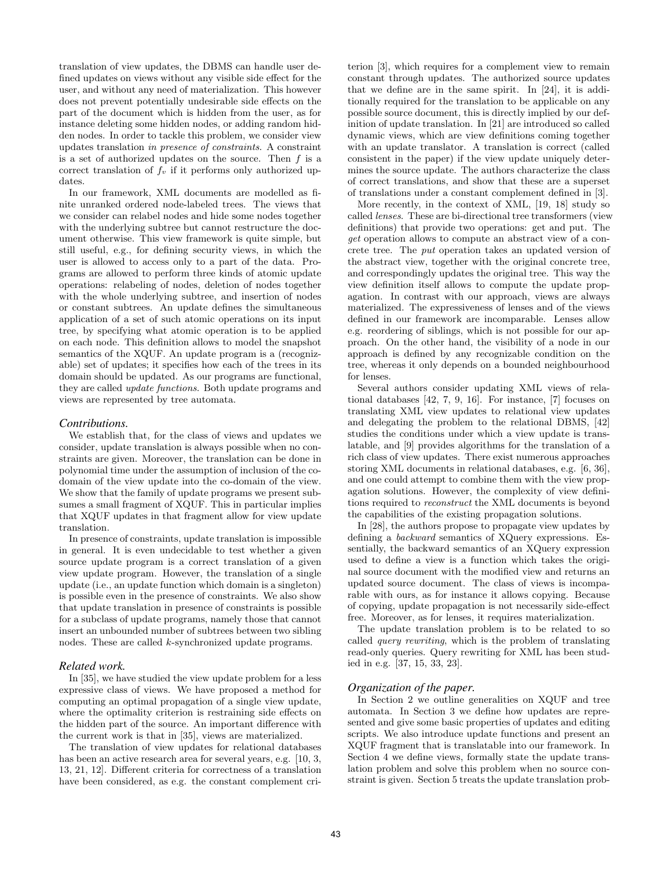translation of view updates, the DBMS can handle user defined updates on views without any visible side effect for the user, and without any need of materialization. This however does not prevent potentially undesirable side effects on the part of the document which is hidden from the user, as for instance deleting some hidden nodes, or adding random hidden nodes. In order to tackle this problem, we consider view updates translation in presence of constraints. A constraint is a set of authorized updates on the source. Then  $f$  is a correct translation of  $f_v$  if it performs only authorized updates.

In our framework, XML documents are modelled as finite unranked ordered node-labeled trees. The views that we consider can relabel nodes and hide some nodes together with the underlying subtree but cannot restructure the document otherwise. This view framework is quite simple, but still useful, e.g., for defining security views, in which the user is allowed to access only to a part of the data. Programs are allowed to perform three kinds of atomic update operations: relabeling of nodes, deletion of nodes together with the whole underlying subtree, and insertion of nodes or constant subtrees. An update defines the simultaneous application of a set of such atomic operations on its input tree, by specifying what atomic operation is to be applied on each node. This definition allows to model the snapshot semantics of the XQUF. An update program is a (recognizable) set of updates; it specifies how each of the trees in its domain should be updated. As our programs are functional, they are called update functions. Both update programs and views are represented by tree automata.

#### *Contributions.*

We establish that, for the class of views and updates we consider, update translation is always possible when no constraints are given. Moreover, the translation can be done in polynomial time under the assumption of inclusion of the codomain of the view update into the co-domain of the view. We show that the family of update programs we present subsumes a small fragment of XQUF. This in particular implies that XQUF updates in that fragment allow for view update translation.

In presence of constraints, update translation is impossible in general. It is even undecidable to test whether a given source update program is a correct translation of a given view update program. However, the translation of a single update (i.e., an update function which domain is a singleton) is possible even in the presence of constraints. We also show that update translation in presence of constraints is possible for a subclass of update programs, namely those that cannot insert an unbounded number of subtrees between two sibling nodes. These are called k-synchronized update programs.

#### *Related work.*

In [35], we have studied the view update problem for a less expressive class of views. We have proposed a method for computing an optimal propagation of a single view update, where the optimality criterion is restraining side effects on the hidden part of the source. An important difference with the current work is that in [35], views are materialized.

The translation of view updates for relational databases has been an active research area for several years, e.g. [10, 3, 13, 21, 12]. Different criteria for correctness of a translation have been considered, as e.g. the constant complement criterion [3], which requires for a complement view to remain constant through updates. The authorized source updates that we define are in the same spirit. In [24], it is additionally required for the translation to be applicable on any possible source document, this is directly implied by our definition of update translation. In [21] are introduced so called dynamic views, which are view definitions coming together with an update translator. A translation is correct (called consistent in the paper) if the view update uniquely determines the source update. The authors characterize the class of correct translations, and show that these are a superset of translations under a constant complement defined in [3].

More recently, in the context of XML, [19, 18] study so called lenses. These are bi-directional tree transformers (view definitions) that provide two operations: get and put. The get operation allows to compute an abstract view of a concrete tree. The put operation takes an updated version of the abstract view, together with the original concrete tree, and correspondingly updates the original tree. This way the view definition itself allows to compute the update propagation. In contrast with our approach, views are always materialized. The expressiveness of lenses and of the views defined in our framework are incomparable. Lenses allow e.g. reordering of siblings, which is not possible for our approach. On the other hand, the visibility of a node in our approach is defined by any recognizable condition on the tree, whereas it only depends on a bounded neighbourhood for lenses.

Several authors consider updating XML views of relational databases [42, 7, 9, 16]. For instance, [7] focuses on translating XML view updates to relational view updates and delegating the problem to the relational DBMS, [42] studies the conditions under which a view update is translatable, and [9] provides algorithms for the translation of a rich class of view updates. There exist numerous approaches storing XML documents in relational databases, e.g. [6, 36], and one could attempt to combine them with the view propagation solutions. However, the complexity of view definitions required to reconstruct the XML documents is beyond the capabilities of the existing propagation solutions.

In [28], the authors propose to propagate view updates by defining a backward semantics of XQuery expressions. Essentially, the backward semantics of an XQuery expression used to define a view is a function which takes the original source document with the modified view and returns an updated source document. The class of views is incomparable with ours, as for instance it allows copying. Because of copying, update propagation is not necessarily side-effect free. Moreover, as for lenses, it requires materialization.

The update translation problem is to be related to so called query rewriting, which is the problem of translating read-only queries. Query rewriting for XML has been studied in e.g. [37, 15, 33, 23].

#### *Organization of the paper.*

In Section 2 we outline generalities on XQUF and tree automata. In Section 3 we define how updates are represented and give some basic properties of updates and editing scripts. We also introduce update functions and present an XQUF fragment that is translatable into our framework. In Section 4 we define views, formally state the update translation problem and solve this problem when no source constraint is given. Section 5 treats the update translation prob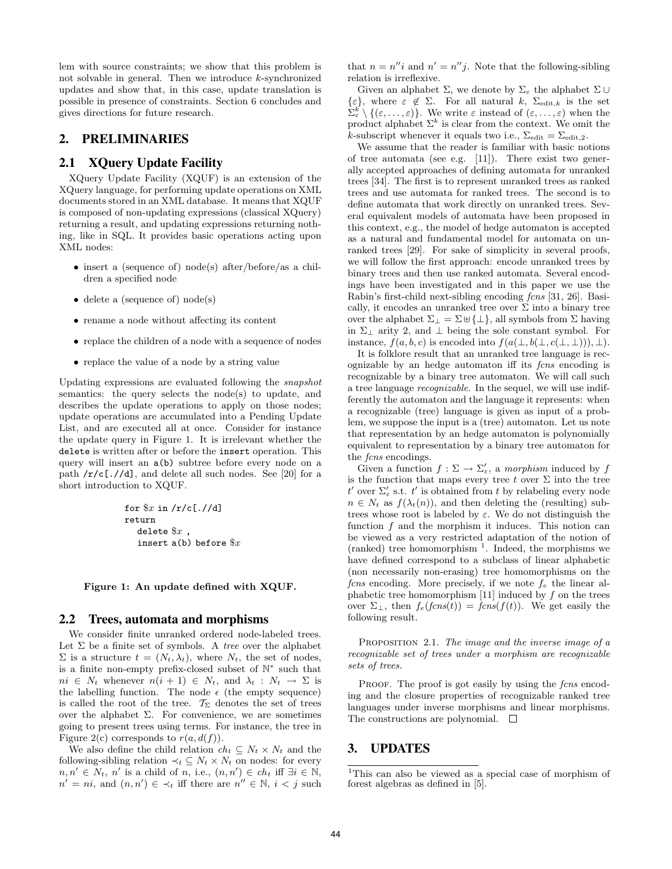lem with source constraints; we show that this problem is not solvable in general. Then we introduce k-synchronized updates and show that, in this case, update translation is possible in presence of constraints. Section 6 concludes and gives directions for future research.

# 2. PRELIMINARIES

# 2.1 XQuery Update Facility

XQuery Update Facility (XQUF) is an extension of the XQuery language, for performing update operations on XML documents stored in an XML database. It means that XQUF is composed of non-updating expressions (classical XQuery) returning a result, and updating expressions returning nothing, like in SQL. It provides basic operations acting upon XML nodes:

- insert a (sequence of) node(s) after/before/as a children a specified node
- delete a (sequence of) node(s)
- rename a node without affecting its content
- replace the children of a node with a sequence of nodes
- replace the value of a node by a string value

Updating expressions are evaluated following the snapshot semantics: the query selects the node(s) to update, and describes the update operations to apply on those nodes; update operations are accumulated into a Pending Update List, and are executed all at once. Consider for instance the update query in Figure 1. It is irrelevant whether the delete is written after or before the insert operation. This query will insert an a(b) subtree before every node on a path  $/r/c$ [.//d], and delete all such nodes. See [20] for a short introduction to XQUF.

> for  $x \in \sqrt{r/c}$ .//d] return delete  $x$ . insert a(b) before  $x$

Figure 1: An update defined with XQUF.

#### 2.2 Trees, automata and morphisms

We consider finite unranked ordered node-labeled trees. Let  $\Sigma$  be a finite set of symbols. A *tree* over the alphabet  $\Sigma$  is a structure  $t = (N_t, \lambda_t)$ , where  $N_t$ , the set of nodes, is a finite non-empty prefix-closed subset of  $\mathbb{N}^*$  such that  $ni \in N_t$  whenever  $n(i + 1) \in N_t$ , and  $\lambda_t : N_t \to \Sigma$  is the labelling function. The node  $\epsilon$  (the empty sequence) is called the root of the tree.  $\mathcal{T}_{\Sigma}$  denotes the set of trees over the alphabet  $\Sigma$ . For convenience, we are sometimes going to present trees using terms. For instance, the tree in Figure 2(c) corresponds to  $r(a, d(f))$ .

We also define the child relation  $ch_t \subseteq N_t \times N_t$  and the following-sibling relation  $\prec_t \subseteq N_t \times N_t$  on nodes: for every  $n, n' \in N_t$ , n' is a child of n, i.e.,  $(n, n') \in ch_t$  iff  $\exists i \in \mathbb{N}$ ,  $n' = ni$ , and  $(n, n') \in \prec_t$  iff there are  $n'' \in \mathbb{N}$ ,  $i < j$  such

that  $n = n''i$  and  $n' = n''j$ . Note that the following-sibling relation is irreflexive.

Given an alphabet  $\Sigma$ , we denote by  $\Sigma_{\varepsilon}$  the alphabet  $\Sigma \cup$  $\{\varepsilon\},\,$  where  $\varepsilon \notin \Sigma$ . For all natural k,  $\Sigma_{\text{edit},k}$  is the set  $\sum_{\varepsilon}^{k} \setminus \{(\varepsilon,\ldots,\varepsilon)\}.$  We write  $\varepsilon$  instead of  $(\varepsilon,\ldots,\varepsilon)$  when the product alphabet  $\Sigma^k$  is clear from the context. We omit the k-subscript whenever it equals two i.e.,  $\Sigma_{\text{edit}} = \Sigma_{\text{edit.2}}$ .

We assume that the reader is familiar with basic notions of tree automata (see e.g. [11]). There exist two generally accepted approaches of defining automata for unranked trees [34]. The first is to represent unranked trees as ranked trees and use automata for ranked trees. The second is to define automata that work directly on unranked trees. Several equivalent models of automata have been proposed in this context, e.g., the model of hedge automaton is accepted as a natural and fundamental model for automata on unranked trees [29]. For sake of simplicity in several proofs, we will follow the first approach: encode unranked trees by binary trees and then use ranked automata. Several encodings have been investigated and in this paper we use the Rabin's first-child next-sibling encoding fcns [31, 26]. Basically, it encodes an unranked tree over  $\Sigma$  into a binary tree over the alphabet  $\Sigma_{\perp} = \Sigma \uplus {\perp}$ , all symbols from  $\Sigma$  having in  $\Sigma_{\perp}$  arity 2, and  $\perp$  being the sole constant symbol. For instance,  $f(a, b, c)$  is encoded into  $f(a(\perp, b(\perp, c(\perp, \perp)))$ ,  $\perp$ ).

It is folklore result that an unranked tree language is recognizable by an hedge automaton iff its *fcns* encoding is recognizable by a binary tree automaton. We will call such a tree language recognizable. In the sequel, we will use indifferently the automaton and the language it represents: when a recognizable (tree) language is given as input of a problem, we suppose the input is a (tree) automaton. Let us note that representation by an hedge automaton is polynomially equivalent to representation by a binary tree automaton for the fcns encodings.

Given a function  $f: \Sigma \to \Sigma'_{\varepsilon}$ , a morphism induced by f is the function that maps every tree t over  $\Sigma$  into the tree  $t'$  over  $\Sigma'_\varepsilon$  s.t.  $t'$  is obtained from t by relabeling every node  $n \in N_t$  as  $f(\lambda_t(n))$ , and then deleting the (resulting) subtrees whose root is labeled by  $\varepsilon$ . We do not distinguish the function  $f$  and the morphism it induces. This notion can be viewed as a very restricted adaptation of the notion of  $(ranked)$  tree homomorphism<sup>1</sup>. Indeed, the morphisms we have defined correspond to a subclass of linear alphabetic (non necessarily non-erasing) tree homomorphisms on the fcns encoding. More precisely, if we note  $f_e$  the linear alphabetic tree homomorphism  $[11]$  induced by  $f$  on the trees over  $\Sigma_{\perp}$ , then  $f_e(fens(t)) = fens(f(t))$ . We get easily the following result.

PROPOSITION 2.1. The image and the inverse image of a recognizable set of trees under a morphism are recognizable sets of trees.

PROOF. The proof is got easily by using the *fcns* encoding and the closure properties of recognizable ranked tree languages under inverse morphisms and linear morphisms. The constructions are polynomial.  $\square$ 

# 3. UPDATES

<sup>1</sup>This can also be viewed as a special case of morphism of forest algebras as defined in [5].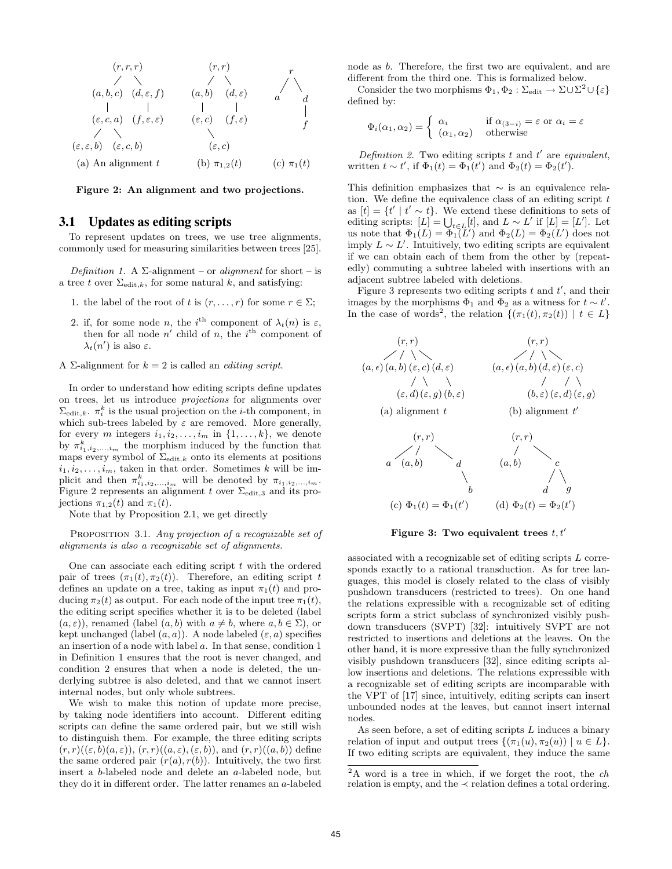

Figure 2: An alignment and two projections.

# 3.1 Updates as editing scripts

To represent updates on trees, we use tree alignments, commonly used for measuring similarities between trees [25].

Definition 1. A  $\Sigma$ -alignment – or alignment for short – is a tree t over  $\Sigma_{\text{edit},k}$ , for some natural k, and satisfying:

- 1. the label of the root of t is  $(r, \ldots, r)$  for some  $r \in \Sigma$ ;
- 2. if, for some node *n*, the *i*<sup>th</sup> component of  $\lambda_t(n)$  is  $\varepsilon$ , then for all node  $n'$  child of n, the i<sup>th</sup> component of  $\lambda_t(n')$  is also  $\varepsilon$ .

A  $\Sigma$ -alignment for  $k = 2$  is called an *editing script*.

In order to understand how editing scripts define updates on trees, let us introduce projections for alignments over  $\Sigma_{\text{edit},k}$ .  $\pi_i^k$  is the usual projection on the *i*-th component, in which sub-trees labeled by  $\varepsilon$  are removed. More generally, for every m integers  $i_1, i_2, \ldots, i_m$  in  $\{1, \ldots, k\}$ , we denote by  $\pi_{i_1,i_2,\ldots,i_m}^k$  the morphism induced by the function that maps every symbol of  $\Sigma_{\text{edit},k}$  onto its elements at positions  $i_1, i_2, \ldots, i_m$ , taken in that order. Sometimes k will be implicit and then  $\pi_{i_1,i_2,\ldots,i_m}^k$  will be denoted by  $\pi_{i_1,i_2,\ldots,i_m}$ . Figure 2 represents an alignment t over  $\Sigma_{\text{edit},3}$  and its projections  $\pi_{1,2}(t)$  and  $\pi_1(t)$ .

Note that by Proposition 2.1, we get directly

PROPOSITION 3.1. Any projection of a recognizable set of alignments is also a recognizable set of alignments.

One can associate each editing script  $t$  with the ordered pair of trees  $(\pi_1(t), \pi_2(t))$ . Therefore, an editing script t defines an update on a tree, taking as input  $\pi_1(t)$  and producing  $\pi_2(t)$  as output. For each node of the input tree  $\pi_1(t)$ , the editing script specifies whether it is to be deleted (label  $(a, \varepsilon)$ , renamed (label  $(a, b)$  with  $a \neq b$ , where  $a, b \in \Sigma$ ), or kept unchanged (label  $(a, a)$ ). A node labeled  $(\varepsilon, a)$  specifies an insertion of a node with label a. In that sense, condition 1 in Definition 1 ensures that the root is never changed, and condition 2 ensures that when a node is deleted, the underlying subtree is also deleted, and that we cannot insert internal nodes, but only whole subtrees.

We wish to make this notion of update more precise, by taking node identifiers into account. Different editing scripts can define the same ordered pair, but we still wish to distinguish them. For example, the three editing scripts  $(r, r)((\varepsilon, b)(a, \varepsilon)), (r, r)((a, \varepsilon),(\varepsilon, b)),$  and  $(r, r)((a, b))$  define the same ordered pair  $(r(a), r(b))$ . Intuitively, the two first insert a b-labeled node and delete an a-labeled node, but they do it in different order. The latter renames an a-labeled node as b. Therefore, the first two are equivalent, and are different from the third one. This is formalized below.

Consider the two morphisms  $\Phi_1, \Phi_2 : \Sigma_{\text{edit}} \to \Sigma \cup \Sigma^2 \cup {\varepsilon}$ defined by:

$$
\Phi_i(\alpha_1, \alpha_2) = \begin{cases} \alpha_i & \text{if } \alpha_{(3-i)} = \varepsilon \text{ or } \alpha_i = \varepsilon \\ (\alpha_1, \alpha_2) & \text{otherwise} \end{cases}
$$

Definition 2. Two editing scripts  $t$  and  $t'$  are equivalent, written  $t \sim t'$ , if  $\Phi_1(t) = \Phi_1(t')$  and  $\Phi_2(t) = \Phi_2(t')$ .

This definition emphasizes that ∼ is an equivalence relation. We define the equivalence class of an editing script  $t$ as  $[t] = \{t' | t' \sim t\}$ . We extend these definitions to sets of editing scripts:  $[L] = \bigcup_{t \in L} [t]$ , and  $L \sim L'$  if  $[L] = [L']$ . Let us note that  $\Phi_1(L) = \Phi_1(L')$  and  $\Phi_2(L) = \Phi_2(L')$  does not imply  $L \sim L'$ . Intuitively, two editing scripts are equivalent if we can obtain each of them from the other by (repeatedly) commuting a subtree labeled with insertions with an adjacent subtree labeled with deletions.

Figure 3 represents two editing scripts  $t$  and  $t'$ , and their images by the morphisms  $\Phi_1$  and  $\Phi_2$  as a witness for  $t \sim t'$ . In the case of words<sup>2</sup>, the relation  $\{(\pi_1(t), \pi_2(t)) \mid t \in L\}$ 



Figure 3: Two equivalent trees  $t, t'$ 

associated with a recognizable set of editing scripts L corresponds exactly to a rational transduction. As for tree languages, this model is closely related to the class of visibly pushdown transducers (restricted to trees). On one hand the relations expressible with a recognizable set of editing scripts form a strict subclass of synchronized visibly pushdown transducers (SVPT) [32]: intuitively SVPT are not restricted to insertions and deletions at the leaves. On the other hand, it is more expressive than the fully synchronized visibly pushdown transducers [32], since editing scripts allow insertions and deletions. The relations expressible with a recognizable set of editing scripts are incomparable with the VPT of [17] since, intuitively, editing scripts can insert unbounded nodes at the leaves, but cannot insert internal nodes.

As seen before, a set of editing scripts  $L$  induces a binary relation of input and output trees  $\{(\pi_1(u), \pi_2(u)) \mid u \in L\}.$ If two editing scripts are equivalent, they induce the same

 $2A$  word is a tree in which, if we forget the root, the ch relation is empty, and the  $\prec$  relation defines a total ordering.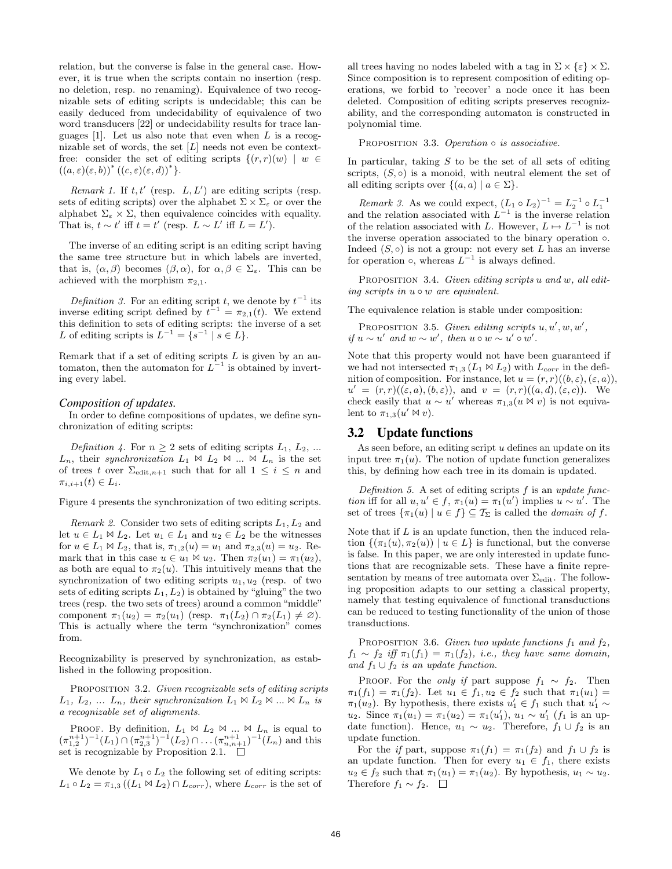relation, but the converse is false in the general case. However, it is true when the scripts contain no insertion (resp. no deletion, resp. no renaming). Equivalence of two recognizable sets of editing scripts is undecidable; this can be easily deduced from undecidability of equivalence of two word transducers [22] or undecidability results for trace languages [1]. Let us also note that even when  $L$  is a recognizable set of words, the set  $[L]$  needs not even be contextfree: consider the set of editing scripts  $\{(r, r)(w) \mid w \in$  $((a,\varepsilon)(\varepsilon,b))^*((c,\varepsilon)(\varepsilon,d))^*$ .

Remark 1. If  $t, t'$  (resp.  $L, L'$ ) are editing scripts (resp. sets of editing scripts) over the alphabet  $\Sigma \times \Sigma_{\varepsilon}$  or over the alphabet  $\Sigma_{\varepsilon} \times \Sigma$ , then equivalence coincides with equality. That is,  $t \sim t'$  iff  $t = t'$  (resp.  $L \sim L'$  iff  $L = L'$ ).

The inverse of an editing script is an editing script having the same tree structure but in which labels are inverted, that is,  $(\alpha, \beta)$  becomes  $(\beta, \alpha)$ , for  $\alpha, \beta \in \Sigma_{\varepsilon}$ . This can be achieved with the morphism  $\pi_{2,1}$ .

Definition 3. For an editing script t, we denote by  $t^{-1}$  its inverse editing script defined by  $t^{-1} = \pi_{2,1}(t)$ . We extend this definition to sets of editing scripts: the inverse of a set L of editing scripts is  $L^{-1} = \{s^{-1} \mid s \in L\}.$ 

Remark that if a set of editing scripts  $L$  is given by an automaton, then the automaton for  $L^{-1}$  is obtained by inverting every label.

#### *Composition of updates.*

In order to define compositions of updates, we define synchronization of editing scripts:

Definition 4. For  $n \geq 2$  sets of editing scripts  $L_1, L_2, ...$  $L_n$ , their synchronization  $L_1 \bowtie L_2 \bowtie ... \bowtie L_n$  is the set of trees t over  $\Sigma_{\text{edit},n+1}$  such that for all  $1 \leq i \leq n$  and  $\pi_{i,i+1}(t) \in L_i$ .

Figure 4 presents the synchronization of two editing scripts.

Remark 2. Consider two sets of editing scripts  $L_1, L_2$  and let  $u \in L_1 \bowtie L_2$ . Let  $u_1 \in L_1$  and  $u_2 \in L_2$  be the witnesses for  $u \in L_1 \bowtie L_2$ , that is,  $\pi_{1,2}(u) = u_1$  and  $\pi_{2,3}(u) = u_2$ . Remark that in this case  $u \in u_1 \boxtimes u_2$ . Then  $\pi_2(u_1) = \pi_1(u_2)$ , as both are equal to  $\pi_2(u)$ . This intuitively means that the synchronization of two editing scripts  $u_1, u_2$  (resp. of two sets of editing scripts  $L_1, L_2$ ) is obtained by "gluing" the two trees (resp. the two sets of trees) around a common "middle" component  $\pi_1(u_2) = \pi_2(u_1)$  (resp.  $\pi_1(L_2) \cap \pi_2(L_1) \neq \emptyset$ ). This is actually where the term "synchronization" comes from.

Recognizability is preserved by synchronization, as established in the following proposition.

PROPOSITION 3.2. Given recognizable sets of editing scripts  $L_1, L_2, \ldots L_n$ , their synchronization  $L_1 \bowtie L_2 \bowtie \ldots \bowtie L_n$  is a recognizable set of alignments.

PROOF. By definition,  $L_1 \bowtie L_2 \bowtie ... \bowtie L_n$  is equal to  $(\pi_{1,2}^{n+1})^{-1}(L_1) \cap (\pi_{2,3}^{n+1})^{-1}(L_2) \cap \dots (\pi_{n,n+1}^{n+1})^{-1}(L_n)$  and this set is recognizable by Proposition 2.1.

We denote by  $L_1 \circ L_2$  the following set of editing scripts:  $L_1 \circ L_2 = \pi_{1,3} ((L_1 \otimes L_2) \cap L_{corr}),$  where  $L_{corr}$  is the set of all trees having no nodes labeled with a tag in  $\Sigma \times {\{\varepsilon\}} \times \Sigma$ . Since composition is to represent composition of editing operations, we forbid to 'recover' a node once it has been deleted. Composition of editing scripts preserves recognizability, and the corresponding automaton is constructed in polynomial time.

PROPOSITION 3.3. Operation  $\circ$  is associative.

In particular, taking  $S$  to be the set of all sets of editing scripts,  $(S, \circ)$  is a monoid, with neutral element the set of all editing scripts over  $\{(a, a) \mid a \in \Sigma\}.$ 

*Remark 3*. As we could expect,  $(L_1 \circ L_2)^{-1} = L_2^{-1} \circ L_1^{-1}$ <br>and the relation associated with  $L^{-1}$  is the inverse relation of the relation associated with L. However,  $L \mapsto L^{-1}$  is not the inverse operation associated to the binary operation  $\circ$ . Indeed  $(S, \circ)$  is not a group: not every set L has an inverse for operation  $\circ$ , whereas  $L^{-1}$  is always defined.

PROPOSITION 3.4. Given editing scripts u and w, all editing scripts in  $u \circ w$  are equivalent.

The equivalence relation is stable under composition:

PROPOSITION 3.5. Given editing scripts  $u, u', w, w',$ if  $u \sim u'$  and  $w \sim w'$ , then  $u \circ w \sim u' \circ w'$ .

Note that this property would not have been guaranteed if we had not intersected  $\pi_{1,3}$  ( $L_1 \bowtie L_2$ ) with  $L_{corr}$  in the definition of composition. For instance, let  $u = (r, r)((b, \varepsilon), (\varepsilon, a))$ ,  $u' = (r, r)((\varepsilon, a), (b, \varepsilon)),$  and  $v = (r, r)((a, d), (\varepsilon, c)).$  We check easily that  $u \sim u'$  whereas  $\pi_{1,3}(u \bowtie v)$  is not equivalent to  $\pi_{1,3}(u' \bowtie v)$ .

### 3.2 Update functions

As seen before, an editing script  $u$  defines an update on its input tree  $\pi_1(u)$ . The notion of update function generalizes this, by defining how each tree in its domain is updated.

Definition 5. A set of editing scripts  $f$  is an update function iff for all  $u, u' \in f$ ,  $\pi_1(u) = \pi_1(u')$  implies  $u \sim u'$ . The set of trees  $\{\pi_1(u) \mid u \in f\} \subseteq \mathcal{T}_{\Sigma}$  is called the *domain of f*.

Note that if L is an update function, then the induced relation  $\{(\pi_1(u), \pi_2(u)) \mid u \in L\}$  is functional, but the converse is false. In this paper, we are only interested in update functions that are recognizable sets. These have a finite representation by means of tree automata over  $\Sigma_{\text{edit}}$ . The following proposition adapts to our setting a classical property, namely that testing equivalence of functional transductions can be reduced to testing functionality of the union of those transductions.

PROPOSITION 3.6. Given two update functions  $f_1$  and  $f_2$ ,  $f_1 \sim f_2$  iff  $\pi_1(f_1) = \pi_1(f_2)$ , i.e., they have same domain, and  $f_1 \cup f_2$  is an update function.

PROOF. For the *only if* part suppose  $f_1 \sim f_2$ . Then  $\pi_1(f_1) = \pi_1(f_2)$ . Let  $u_1 \in f_1, u_2 \in f_2$  such that  $\pi_1(u_1) =$  $\pi_1(u_2)$ . By hypothesis, there exists  $u'_1 \in f_1$  such that  $u'_1 \sim$ u<sub>2</sub>. Since  $\pi_1(u_1) = \pi_1(u_2) = \pi_1(u'_1)$ ,  $u_1 \sim u'_1$  ( $f_1$  is an update function). Hence,  $u_1 \sim u_2$ . Therefore,  $f_1 \cup f_2$  is an update function.

For the if part, suppose  $\pi_1(f_1) = \pi_1(f_2)$  and  $f_1 \cup f_2$  is an update function. Then for every  $u_1 \in f_1$ , there exists  $u_2 \in f_2$  such that  $\pi_1(u_1) = \pi_1(u_2)$ . By hypothesis,  $u_1 \sim u_2$ . Therefore  $f_1 \sim f_2$ .  $\Box$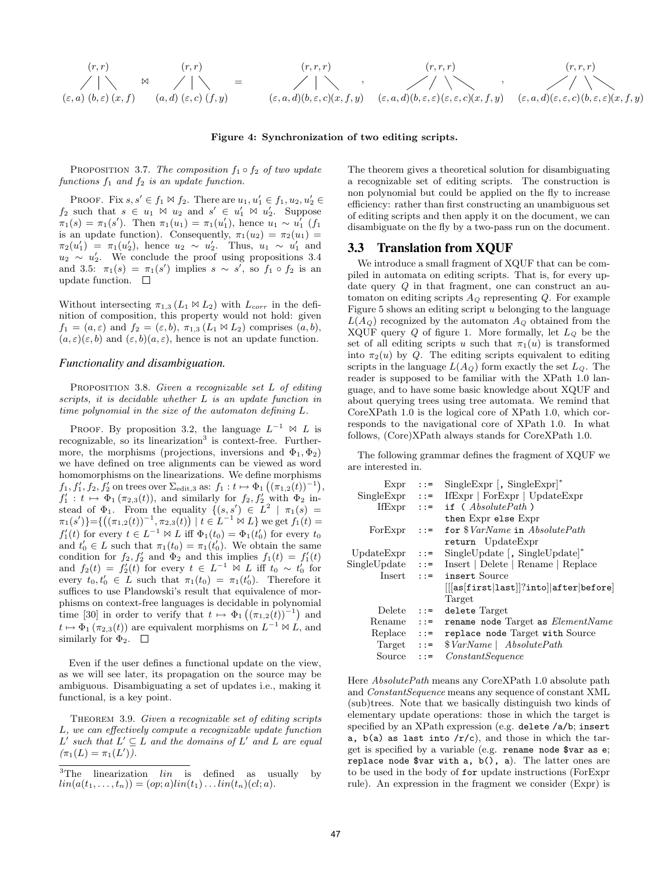$$
(r,r) \qquad (r,r) \qquad (r,r) \qquad (r,r,r) \qquad (r,r,r) \qquad (r,r,r) \qquad (r,r,r) \qquad (r,r,r) \qquad (r,r,r) \qquad (r,r,r) \qquad (r,r,r) \qquad (r,r,r) \qquad (r,r,r) \qquad (r,r,r) \qquad (r,r,r) \qquad (r,r,r) \qquad (r,r,r) \qquad (r,r,r) \qquad (r,r,r) \qquad (r,r,r) \qquad (r,r,r) \qquad (r,r,r) \qquad (r,r,r) \qquad (r,r,r) \qquad (r,r,r) \qquad (r,r,r) \qquad (r,r,r) \qquad (r,r,r) \qquad (r,r,r) \qquad (r,r,r) \qquad (r,r,r) \qquad (r,r,r) \qquad (r,r,r) \qquad (r,r,r) \qquad (r,r,r) \qquad (r,r,r) \qquad (r,r,r) \qquad (r,r,r) \qquad (r,r,r) \qquad (r,r,r) \qquad (r,r,r) \qquad (r,r,r) \qquad (r,r,r) \qquad (r,r,r) \qquad (r,r,r) \qquad (r,r,r) \qquad (r,r,r) \qquad (r,r,r) \qquad (r,r,r) \qquad (r,r,r) \qquad (r,r,r) \qquad (r,r,r) \qquad (r,r,r) \qquad (r,r,r) \qquad (r,r,r) \qquad (r,r,r) \qquad (r,r,r) \qquad (r,r,r) \qquad (r,r,r) \qquad (r,r,r) \qquad (r,r,r) \qquad (r,r,r) \qquad (r,r,r) \qquad (r,r,r) \qquad (r,r,r) \qquad (r,r,r) \qquad (r,r,r) \qquad (r,r,r) \qquad (r,r,r) \qquad (r,r,r) \qquad (r,r,r) \qquad (r,r,r) \qquad (r,r,r) \qquad (r,r,r) \qquad (r,r,r) \qquad (r,r,r) \qquad (r,r,r) \qquad (r,r,r) \qquad (r,r,r) \qquad (r,r,r) \qquad (r,r,r) \qquad (r,r,r) \qquad (r,r,r) \qquad (r,r,r) \qquad (r,r,r) \qquad (r,r,r) \qquad (r,r,r) \qquad (r,r,r) \qquad (r,r,r) \qquad (r,r,r) \qquad (r,r,r) \qquad (r,r,r) \qquad (r,r,r) \qquad (r,r,r) \qquad (r,r,r) \qquad (r,r
$$

#### Figure 4: Synchronization of two editing scripts.

PROPOSITION 3.7. The composition  $f_1 \circ f_2$  of two update functions  $f_1$  and  $f_2$  is an update function.

PROOF. Fix  $s, s' \in f_1 \bowtie f_2$ . There are  $u_1, u'_1 \in f_1, u_2, u'_2 \in$  $f_2$  such that  $s \in u_1 \bowtie u_2$  and  $s' \in u'_1 \bowtie u'_2$ . Suppose  $\pi_1(s) = \pi_1(s')$ . Then  $\pi_1(u_1) = \pi_1(u'_1)$ , hence  $u_1 \sim u'_1$  (f<sub>1</sub>) is an update function). Consequently,  $\pi_1(u_2) = \pi_2(u_1)$  $\pi_2(u'_1) = \pi_1(u'_2)$ , hence  $u_2 \sim u'_2$ . Thus,  $u_1 \sim u'_1$  and  $u_2 \sim u_2'$ . We conclude the proof using propositions 3.4 and 3.5:  $\pi_1(s) = \pi_1(s')$  implies  $s \sim s'$ , so  $f_1 \circ f_2$  is an update function.  $\Box$ 

Without intersecting  $\pi_{1,3}$  ( $L_1 \bowtie L_2$ ) with  $L_{corr}$  in the definition of composition, this property would not hold: given  $f_1 = (a, \varepsilon)$  and  $f_2 = (\varepsilon, b), \pi_{1,3} (L_1 \bowtie L_2)$  comprises  $(a, b),$  $(a, \varepsilon)(\varepsilon, b)$  and  $(\varepsilon, b)(a, \varepsilon)$ , hence is not an update function.

#### *Functionality and disambiguation.*

PROPOSITION 3.8. Given a recognizable set L of editing scripts, it is decidable whether L is an update function in time polynomial in the size of the automaton defining L.

PROOF. By proposition 3.2, the language  $L^{-1} \bowtie L$  is recognizable, so its linearization<sup>3</sup> is context-free. Furthermore, the morphisms (projections, inversions and  $\Phi_1, \Phi_2$ ) we have defined on tree alignments can be viewed as word homomorphisms on the linearizations. We define morphisms  $f_1, f'_1, f_2, f'_2$  on trees over  $\Sigma_{\text{edit},3}$  as:  $f_1: t \mapsto \Phi_1((\pi_{1,2}(t))^{-1}),$  $f_1': t \mapsto \Phi_1(\pi_{2,3}(t)),$  and similarly for  $f_2, f_2'$  with  $\Phi_2$  instead of  $\Phi_1$ . From the equality  $\{(s, s') \in L^2 \mid \pi_1(s) =$  $\pi_1(s')\}=\{((\pi_{1,2}(t))^{-1},\pi_{2,3}(t))\mid t\in L^{-1}\boxtimes L\}$  we get  $f_1(t)=$  $f_1'(t)$  for every  $t \in L^{-1} \bowtie L$  iff  $\Phi_1(t_0) = \Phi_1(t'_0)$  for every  $t_0$ and  $t'_0 \in L$  such that  $\pi_1(t_0) = \pi_1(t'_0)$ . We obtain the same condition for  $f_2, f'_2$  and  $\Phi_2$  and this implies  $f_1(t) = f'_1(t)$ and  $f_2(t) = f_2'(t)$  for every  $t \in L^{-1} \bowtie L$  iff  $t_0 \sim t_0'$  for every  $t_0, t'_0 \in L$  such that  $\pi_1(t_0) = \pi_1(t'_0)$ . Therefore it suffices to use Plandowski's result that equivalence of morphisms on context-free languages is decidable in polynomial time [30] in order to verify that  $t \mapsto \Phi_1((\pi_{1,2}(t))^{-1})$  and  $t \mapsto \Phi_1 (\pi_{2,3}(t))$  are equivalent morphisms on  $L^{-1} \bowtie L$ , and similarly for  $\Phi_2$ .  $\square$ 

Even if the user defines a functional update on the view, as we will see later, its propagation on the source may be ambiguous. Disambiguating a set of updates i.e., making it functional, is a key point.

THEOREM 3.9. Given a recognizable set of editing scripts L, we can effectively compute a recognizable update function L' such that  $L' \subseteq L$  and the domains of L' and L are equal  $(\pi_1(L) = \pi_1(L')).$ 

The theorem gives a theoretical solution for disambiguating a recognizable set of editing scripts. The construction is non polynomial but could be applied on the fly to increase efficiency: rather than first constructing an unambiguous set of editing scripts and then apply it on the document, we can disambiguate on the fly by a two-pass run on the document.

#### 3.3 Translation from XQUF

We introduce a small fragment of XQUF that can be compiled in automata on editing scripts. That is, for every update query Q in that fragment, one can construct an automaton on editing scripts  $A_{\mathcal{Q}}$  representing  $Q$ . For example Figure 5 shows an editing script  $u$  belonging to the language  $L(A_Q)$  recognized by the automaton  $A_Q$  obtained from the XQUF query  $Q$  of figure 1. More formally, let  $L_Q$  be the set of all editing scripts u such that  $\pi_1(u)$  is transformed into  $\pi_2(u)$  by Q. The editing scripts equivalent to editing scripts in the language  $L(A_Q)$  form exactly the set  $L_Q$ . The reader is supposed to be familiar with the XPath 1.0 language, and to have some basic knowledge about XQUF and about querying trees using tree automata. We remind that CoreXPath 1.0 is the logical core of XPath 1.0, which corresponds to the navigational core of XPath 1.0. In what follows, (Core)XPath always stands for CoreXPath 1.0.

The following grammar defines the fragment of XQUF we are interested in.

| Expr         | $\therefore$ :     | $SingleExpr$ [, $SingleExpr$ ]*            |
|--------------|--------------------|--------------------------------------------|
| SingleError  | $\cdot : : =$      | IfExpr   $ForExpr$   UpdateExpr            |
| IfExpr       | $: : =$            | if $(AbsolutePath)$                        |
|              |                    | then Expr else Expr                        |
| ForExpr      | $: :=$             | for $\text{S}$ VarName in AbsolutePath     |
|              |                    | return UpdateExpr                          |
| UpdateExpr   | $: :=$             | $SingleUpdate$ , SingleUpdate <sup>*</sup> |
| SingleUpdate | $\therefore$ : $=$ | Insert   Delete   Rename   Replace         |
| Insert       | $\therefore$ : $=$ | insert Source                              |
|              |                    | [[[as first last]]?into  after before]     |
|              |                    | Target                                     |
| Delete       | $: :=$             | delete Target                              |
| Rename       | $: :=$             | rename node Target as <i>ElementName</i>   |
| Replace      | $\therefore$ : =   | replace node Target with Source            |
| Target       | $\therefore$ : $=$ | \$VarName   AbsolutePath                   |
| Source       | $: : =$            | ConstantSequence                           |

Here AbsolutePath means any CoreXPath 1.0 absolute path and ConstantSequence means any sequence of constant XML (sub)trees. Note that we basically distinguish two kinds of elementary update operations: those in which the target is specified by an XPath expression (e.g. delete /a/b; insert a,  $b(a)$  as last into  $/r/c$ , and those in which the target is specified by a variable (e.g. rename node \$var as e; replace node  $var with a, b(), a)$ . The latter ones are to be used in the body of for update instructions (ForExpr rule). An expression in the fragment we consider (Expr) is

 ${}^{3}$ The linearization *lin* is defined as usually by  $lin(a(t_1,..., t_n)) = (op;a)lin(t_1)...lin(t_n)(cl;a).$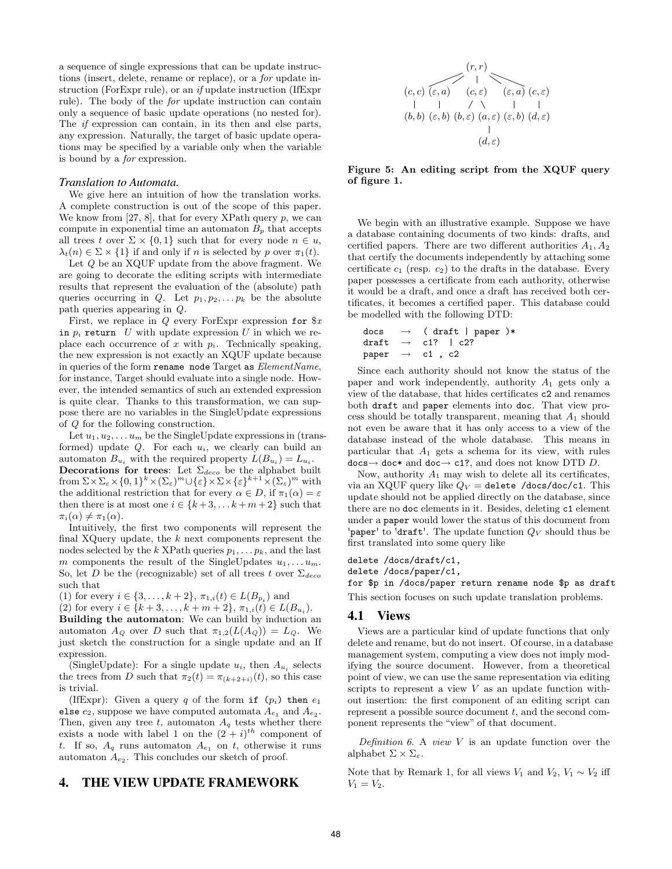a sequence of single expressions that can be update instructions (insert, delete, rename or replace), or a for update instruction (ForExpr rule), or an if update instruction (IfExpr rule). The body of the for update instruction can contain only a sequence of basic update operations (no nested for). The if expression can contain, in its then and else parts, any expression. Naturally, the target of basic update operations may be specified by a variable only when the variable is bound by a for expression.

#### *Translation to Automata.*

We give here an intuition of how the translation works. A complete construction is out of the scope of this paper. We know from [27, 8], that for every XPath query  $p$ , we can compute in exponential time an automaton  $B_p$  that accepts all trees t over  $\Sigma \times \{0,1\}$  such that for every node  $n \in u$ ,  $\lambda_t(n) \in \Sigma \times \{1\}$  if and only if n is selected by p over  $\pi_1(t)$ .

Let Q be an XQUF update from the above fragment. We are going to decorate the editing scripts with intermediate results that represent the evaluation of the (absolute) path queries occurring in Q. Let  $p_1, p_2, \ldots, p_k$  be the absolute path queries appearing in Q.

First, we replace in  $Q$  every ForExpr expression for  $x$ in  $p_i$  return U with update expression U in which we replace each occurrence of  $x$  with  $p_i$ . Technically speaking, the new expression is not exactly an XQUF update because in queries of the form rename node Target as ElementName, for instance, Target should evaluate into a single node. However, the intended semantics of such an extended expression is quite clear. Thanks to this transformation, we can suppose there are no variables in the SingleUpdate expressions of Q for the following construction.

Let  $u_1, u_2, \ldots u_m$  be the SingleUpdate expressions in (transformed) update  $Q$ . For each  $u_i$ , we clearly can build an automaton  $B_{u_i}$  with the required property  $L(B_{u_i}) = L_{u_i}$ . Decorations for trees: Let  $\Sigma_{deco}$  be the alphabet built from  $\Sigma \times \Sigma_{\varepsilon} \times \{0,1\}^k \times (\Sigma_{\varepsilon})^m \cup \{\varepsilon\} \times \Sigma \times \{\varepsilon\}^{k+1} \times (\Sigma_{\varepsilon})^m$  with the additional restriction that for every  $\alpha \in D$ , if  $\pi_1(\alpha) = \varepsilon$ then there is at most one  $i \in \{k+3, \ldots k+m+2\}$  such that  $\pi_i(\alpha) \neq \pi_1(\alpha)$ .

Intuitively, the first two components will represent the final XQuery update, the  $k$  next components represent the nodes selected by the k XPath queries  $p_1, \ldots, p_k$ , and the last m components the result of the SingleUpdates  $u_1, \ldots u_m$ . So, let D be the (recognizable) set of all trees t over  $\Sigma_{deco}$ such that

(1) for every  $i \in \{3, ..., k+2\}, \pi_{1,i}(t) \in L(B_{p_i})$  and

(2) for every  $i \in \{k+3, \ldots, k+m+2\}, \pi_{1,i}(t) \in L(B_{u_i}).$ Building the automaton: We can build by induction an automaton  $A_Q$  over D such that  $\pi_{1,2}(L(A_Q)) = L_Q$ . We just sketch the construction for a single update and an If expression.

(SingleUpdate): For a single update  $u_i$ , then  $A_{u_i}$  selects the trees from D such that  $\pi_2(t) = \pi_{(k+2+i)}(t)$ , so this case is trivial.

(IfExpr): Given a query q of the form if  $(p_i)$  then  $e_1$ else  $e_2$ , suppose we have computed automata  $A_{e_1}$  and  $A_{e_2}$ . Then, given any tree t, automaton  $A_q$  tests whether there exists a node with label 1 on the  $(2 + i)^{th}$  component of t. If so,  $A_q$  runs automaton  $A_{e_1}$  on t, otherwise it runs automaton  $A_{e_2}$ . This concludes our sketch of proof.

#### 4. THE VIEW UPDATE FRAMEWORK



Figure 5: An editing script from the XQUF query of figure 1.

We begin with an illustrative example. Suppose we have a database containing documents of two kinds: drafts, and certified papers. There are two different authorities  $A_1, A_2$ that certify the documents independently by attaching some certificate  $c_1$  (resp.  $c_2$ ) to the drafts in the database. Every paper possesses a certificate from each authority, otherwise it would be a draft, and once a draft has received both certificates, it becomes a certified paper. This database could be modelled with the following DTD:

$$
\begin{array}{lcl} \texttt{docs} & \rightarrow & (\texttt{ draft} \mid \texttt{paper} \texttt{)}* \\ \texttt{dratt} & \rightarrow & \texttt{c1?} & | \texttt{c2?} \\ \texttt{paper} & \rightarrow & \texttt{c1} \texttt{, c2} \end{array}
$$

Since each authority should not know the status of the paper and work independently, authority  $A_1$  gets only a view of the database, that hides certificates c2 and renames both draft and paper elements into doc. That view process should be totally transparent, meaning that  $A_1$  should not even be aware that it has only access to a view of the database instead of the whole database. This means in particular that  $A_1$  gets a schema for its view, with rules docs $\rightarrow$  doc\* and doc $\rightarrow$  c1?, and does not know DTD D.

Now, authority  $A_1$  may wish to delete all its certificates, via an XQUF query like  $Q_V =$  delete /docs/doc/c1. This update should not be applied directly on the database, since there are no doc elements in it. Besides, deleting c1 element under a paper would lower the status of this document from 'paper' to 'draft'. The update function  $Q_V$  should thus be first translated into some query like

delete /docs/draft/c1,

delete /docs/paper/c1,

for \$p in /docs/paper return rename node \$p as draft This section focuses on such update translation problems.

#### 4.1 Views

Views are a particular kind of update functions that only delete and rename, but do not insert. Of course, in a database management system, computing a view does not imply modifying the source document. However, from a theoretical point of view, we can use the same representation via editing scripts to represent a view  $V$  as an update function without insertion: the first component of an editing script can represent a possible source document  $t$ , and the second component represents the "view" of that document.

Definition  $6.$  A view  $V$  is an update function over the alphabet  $\Sigma \times \Sigma_{\varepsilon}$ .

Note that by Remark 1, for all views  $V_1$  and  $V_2$ ,  $V_1 \sim V_2$  iff  $V_1 = V_2.$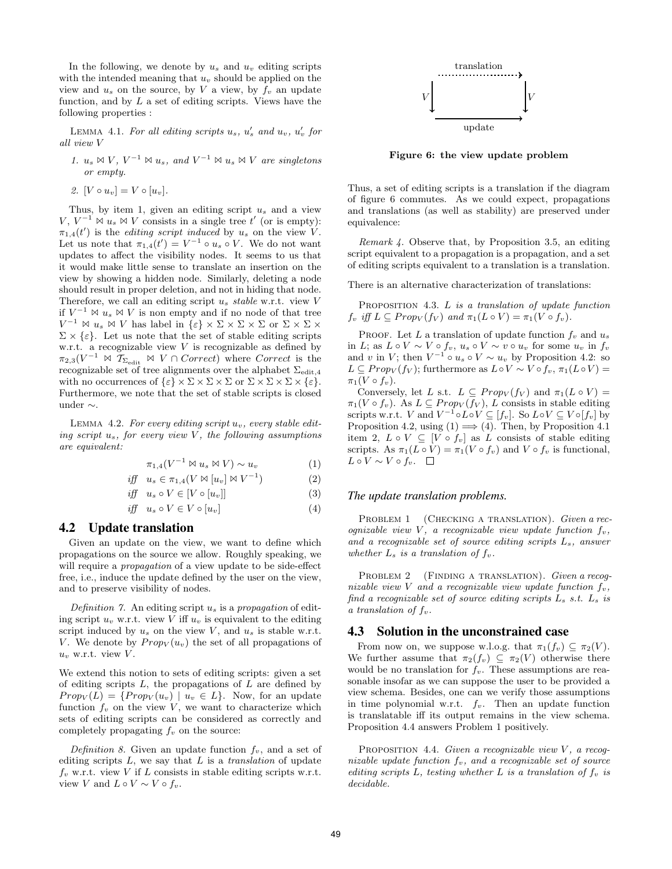In the following, we denote by  $u_s$  and  $u_v$  editing scripts with the intended meaning that  $u<sub>v</sub>$  should be applied on the view and  $u_s$  on the source, by V a view, by  $f_v$  an update function, and by  $L$  a set of editing scripts. Views have the following properties :

LEMMA 4.1. For all editing scripts  $u_s$ ,  $u'_s$  and  $u_v$ ,  $u'_v$  for all view V

- 1.  $u_s \bowtie V$ ,  $V^{-1} \bowtie u_s$ , and  $V^{-1} \bowtie u_s \bowtie V$  are singletons or empty.
- 2.  $[V \circ u_v] = V \circ [u_v]$ .

Thus, by item 1, given an editing script  $u_s$  and a view  $V, V^{-1} \bowtie u_s \bowtie V$  consists in a single tree  $t'$  (or is empty):  $\pi_{1,4}(t')$  is the *editing script induced* by  $u_s$  on the view V. Let us note that  $\pi_{1,4}(t') = V^{-1} \circ u_s \circ V$ . We do not want updates to affect the visibility nodes. It seems to us that it would make little sense to translate an insertion on the view by showing a hidden node. Similarly, deleting a node should result in proper deletion, and not in hiding that node. Therefore, we call an editing script  $u_s$  stable w.r.t. view V if  $V^{-1} \bowtie u_s \bowtie V$  is non empty and if no node of that tree  $V^{-1} \bowtie u_s \bowtie V$  has label in  $\{\varepsilon\} \times \Sigma \times \Sigma \times \Sigma$  or  $\Sigma \times \Sigma \times$  $\Sigma \times {\epsilon}$ . Let us note that the set of stable editing scripts w.r.t. a recognizable view  $V$  is recognizable as defined by  $\pi_{2,3}(V^{-1} \bowtie \overline{T}_{\Sigma_{\text{edit}}} \bowtie V \cap Correct)$  where Correct is the recognizable set of tree alignments over the alphabet  $\Sigma_{\text{edit},4}$ with no occurrences of  $\{\varepsilon\} \times \Sigma \times \Sigma \times \Sigma$  or  $\Sigma \times \Sigma \times \Sigma \times \{\varepsilon\}.$ Furthermore, we note that the set of stable scripts is closed under ∼.

LEMMA 4.2. For every editing script  $u_v$ , every stable editing script  $u_s$ , for every view V, the following assumptions are equivalent:

$$
\pi_{1,4}(V^{-1} \boxtimes u_s \boxtimes V) \sim u_v \tag{1}
$$

$$
iff \quad u_s \in \pi_{1,4}(V \bowtie [u_v] \bowtie V^{-1}) \tag{2}
$$

$$
iff \quad u_s \circ V \in [V \circ [u_v]] \tag{3}
$$

$$
iff \quad u_s \circ V \in V \circ [u_v] \tag{4}
$$

### 4.2 Update translation

Given an update on the view, we want to define which propagations on the source we allow. Roughly speaking, we will require a *propagation* of a view update to be side-effect free, i.e., induce the update defined by the user on the view, and to preserve visibility of nodes.

Definition 7. An editing script  $u_s$  is a propagation of editing script  $u_v$  w.r.t. view V iff  $u_v$  is equivalent to the editing script induced by  $u_s$  on the view V, and  $u_s$  is stable w.r.t. V. We denote by  $Prop_V(u_v)$  the set of all propagations of  $u<sub>v</sub>$  w.r.t. view V.

We extend this notion to sets of editing scripts: given a set of editing scripts  $L$ , the propagations of  $L$  are defined by  $Prop_V(L) = \{Prop_V(u_v) \mid u_v \in L\}.$  Now, for an update function  $f_v$  on the view V, we want to characterize which sets of editing scripts can be considered as correctly and completely propagating  $f_v$  on the source:

Definition 8. Given an update function  $f_v$ , and a set of editing scripts  $L$ , we say that  $L$  is a *translation* of update  $f_v$  w.r.t. view V if L consists in stable editing scripts w.r.t. view V and  $L \circ V \sim V \circ f_v$ .



Figure 6: the view update problem

Thus, a set of editing scripts is a translation if the diagram of figure 6 commutes. As we could expect, propagations and translations (as well as stability) are preserved under equivalence:

Remark 4. Observe that, by Proposition 3.5, an editing script equivalent to a propagation is a propagation, and a set of editing scripts equivalent to a translation is a translation.

There is an alternative characterization of translations:

PROPOSITION 4.3.  $L$  is a translation of update function  $f_v$  iff  $L \subseteq Prop_V(f_V)$  and  $\pi_1(L \circ V) = \pi_1(V \circ f_v)$ .

PROOF. Let L a translation of update function  $f_v$  and  $u_s$ in L; as  $L \circ V \sim V \circ f_v$ ,  $u_s \circ V \sim v \circ u_v$  for some  $u_v$  in  $f_v$ and v in V; then  $V^{-1} \circ u_s \circ V \sim u_v$  by Proposition 4.2: so  $L \subseteq Prop_V(f_V)$ ; furthermore as  $L \circ V \sim V \circ f_v$ ,  $\pi_1(L \circ V) =$  $\pi_1(V \circ f_v).$ 

Conversely, let L s.t.  $L \subseteq Prop_V(f_V)$  and  $\pi_1(L \circ V) =$  $\pi_1(V \circ f_v)$ . As  $L \subseteq Prop_V(f_V)$ , L consists in stable editing scripts w.r.t. V and  $V^{-1} \circ L \circ V \subseteq [f_v]$ . So  $L \circ V \subseteq V \circ [f_v]$  by Proposition 4.2, using  $(1) \Longrightarrow (4)$ . Then, by Proposition 4.1 item 2,  $L \circ V \subseteq [V \circ f_v]$  as L consists of stable editing scripts. As  $\pi_1(L \circ V) = \pi_1(V \circ f_v)$  and  $V \circ f_v$  is functional,  $L \circ V \sim V \circ f_v$ .  $\Box$ 

### *The update translation problems.*

PROBLEM 1 (CHECKING A TRANSLATION). Given a rec- $\textit{conizable view } V, \textit{ a recognizable view update function } f_v,$ and a recognizable set of source editing scripts  $L_s$ , answer whether  $L_s$  is a translation of  $f_v$ .

PROBLEM 2 (FINDING A TRANSLATION). Given a recognizable view V and a recognizable view update function  $f_v$ , find a recognizable set of source editing scripts  $L_s$  s.t.  $L_s$  is a translation of  $f_v$ .

#### 4.3 Solution in the unconstrained case

From now on, we suppose w.l.o.g. that  $\pi_1(f_v) \subseteq \pi_2(V)$ . We further assume that  $\pi_2(f_v) \subseteq \pi_2(V)$  otherwise there would be no translation for  $f_v$ . These assumptions are reasonable insofar as we can suppose the user to be provided a view schema. Besides, one can we verify those assumptions in time polynomial w.r.t.  $f_v$ . Then an update function is translatable iff its output remains in the view schema. Proposition 4.4 answers Problem 1 positively.

PROPOSITION 4.4. Given a recognizable view  $V$ , a recognizable update function  $f_v$ , and a recognizable set of source editing scripts L, testing whether L is a translation of  $f_v$  is decidable.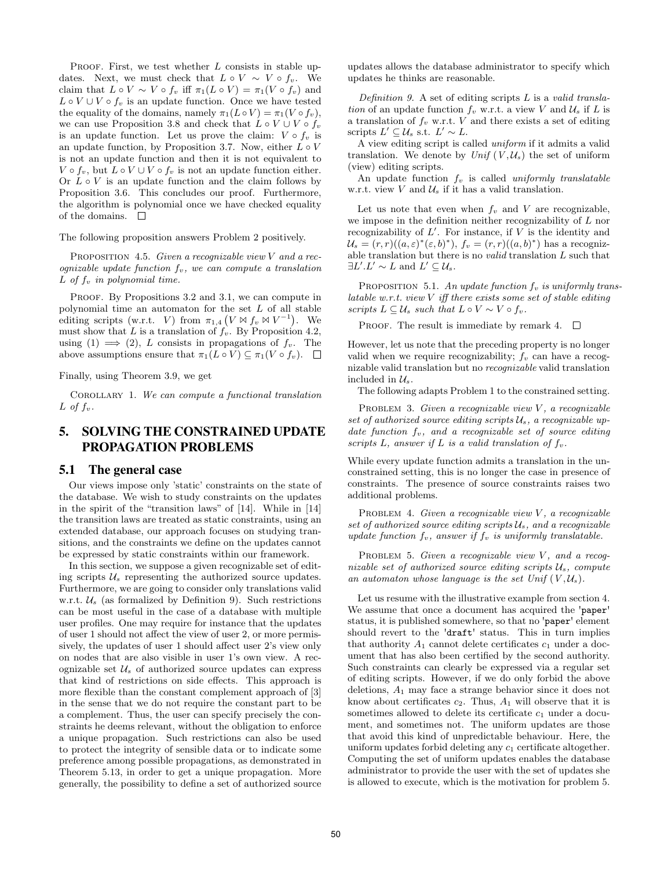PROOF. First, we test whether  $L$  consists in stable updates. Next, we must check that  $L \circ V \sim V \circ f_v$ . We claim that  $L \circ V \sim V \circ f_v$  iff  $\pi_1(L \circ V) = \pi_1(V \circ f_v)$  and  $L \circ V \cup V \circ f_v$  is an update function. Once we have tested the equality of the domains, namely  $\pi_1(L \circ V) = \pi_1(V \circ f_v)$ , we can use Proposition 3.8 and check that  $L \circ V \cup V \circ f_v$ is an update function. Let us prove the claim:  $V \circ f_v$  is an update function, by Proposition 3.7. Now, either  $L \circ V$ is not an update function and then it is not equivalent to  $V \circ f_v$ , but  $L \circ V \cup V \circ f_v$  is not an update function either. Or  $L \circ V$  is an update function and the claim follows by Proposition 3.6. This concludes our proof. Furthermore, the algorithm is polynomial once we have checked equality of the domains.  $\quad \Box$ 

The following proposition answers Problem 2 positively.

PROPOSITION 4.5. Given a recognizable view  $V$  and a recognizable update function  $f_v$ , we can compute a translation L of  $f_v$  in polynomial time.

PROOF. By Propositions 3.2 and 3.1, we can compute in polynomial time an automaton for the set L of all stable editing scripts (w.r.t. V) from  $\pi_{1,4}$   $(V \bowtie f_v \bowtie V^{-1})$ . We must show that  $L$  is a translation of  $f_v$ . By Proposition 4.2, using (1)  $\implies$  (2), L consists in propagations of  $f_v$ . The above assumptions ensure that  $\pi_1(L \circ V) \subseteq \pi_1(V \circ f_v)$ .  $\Box$ 

Finally, using Theorem 3.9, we get

Corollary 1. We can compute a functional translation L of  $f_v$ .

# 5. SOLVING THE CONSTRAINED UPDATE PROPAGATION PROBLEMS

## 5.1 The general case

Our views impose only 'static' constraints on the state of the database. We wish to study constraints on the updates in the spirit of the "transition laws" of [14]. While in [14] the transition laws are treated as static constraints, using an extended database, our approach focuses on studying transitions, and the constraints we define on the updates cannot be expressed by static constraints within our framework.

In this section, we suppose a given recognizable set of editing scripts  $\mathcal{U}_s$  representing the authorized source updates. Furthermore, we are going to consider only translations valid w.r.t.  $\mathcal{U}_s$  (as formalized by Definition 9). Such restrictions can be most useful in the case of a database with multiple user profiles. One may require for instance that the updates of user 1 should not affect the view of user 2, or more permissively, the updates of user 1 should affect user 2's view only on nodes that are also visible in user 1's own view. A recognizable set  $\mathcal{U}_s$  of authorized source updates can express that kind of restrictions on side effects. This approach is more flexible than the constant complement approach of [3] in the sense that we do not require the constant part to be a complement. Thus, the user can specify precisely the constraints he deems relevant, without the obligation to enforce a unique propagation. Such restrictions can also be used to protect the integrity of sensible data or to indicate some preference among possible propagations, as demonstrated in Theorem 5.13, in order to get a unique propagation. More generally, the possibility to define a set of authorized source

updates allows the database administrator to specify which updates he thinks are reasonable.

Definition 9. A set of editing scripts  $L$  is a valid translation of an update function  $f_v$  w.r.t. a view V and  $\mathcal{U}_s$  if L is a translation of  $f_v$  w.r.t. V and there exists a set of editing scripts  $L' \subseteq \mathcal{U}_s$  s.t.  $L' \sim L$ .

A view editing script is called uniform if it admits a valid translation. We denote by  $Unif (V, \mathcal{U}_s)$  the set of uniform (view) editing scripts.

An update function  $f_v$  is called *uniformly translatable* w.r.t. view  $V$  and  $U_s$  if it has a valid translation.

Let us note that even when  $f_v$  and V are recognizable, we impose in the definition neither recognizability of  $L$  nor recognizability of  $L'$ . For instance, if  $V$  is the identity and  $\mathcal{U}_s = (r,r)((a,\varepsilon)^*(\varepsilon,b)^*), f_v = (r,r)((a,b)^*)$  has a recognizable translation but there is no valid translation L such that  $\exists L'.L' \sim L \text{ and } L' \subseteq \mathcal{U}_s.$ 

PROPOSITION 5.1. An update function  $f_v$  is uniformly translatable w.r.t. view  $V$  iff there exists some set of stable editing scripts  $L \subseteq \mathcal{U}_s$  such that  $L \circ V \sim V \circ f_v$ .

PROOF. The result is immediate by remark 4.  $\square$ 

However, let us note that the preceding property is no longer valid when we require recognizability;  $f_v$  can have a recognizable valid translation but no recognizable valid translation included in  $\mathcal{U}_s$ .

The following adapts Problem 1 to the constrained setting.

PROBLEM 3. Given a recognizable view  $V$ , a recognizable set of authorized source editing scripts  $\mathcal{U}_s$ , a recognizable update function  $f_v$ , and a recognizable set of source editing scripts L, answer if L is a valid translation of  $f_v$ .

While every update function admits a translation in the unconstrained setting, this is no longer the case in presence of constraints. The presence of source constraints raises two additional problems.

PROBLEM 4. Given a recognizable view  $V$ , a recognizable set of authorized source editing scripts  $U_s$ , and a recognizable update function  $f_v$ , answer if  $f_v$  is uniformly translatable.

PROBLEM 5. Given a recognizable view  $V$ , and a recognizable set of authorized source editing scripts  $\mathcal{U}_s$ , compute an automaton whose language is the set Unif  $(V, \mathcal{U}_s)$ .

Let us resume with the illustrative example from section 4. We assume that once a document has acquired the 'paper' status, it is published somewhere, so that no 'paper' element should revert to the 'draft' status. This in turn implies that authority  $A_1$  cannot delete certificates  $c_1$  under a document that has also been certified by the second authority. Such constraints can clearly be expressed via a regular set of editing scripts. However, if we do only forbid the above deletions,  $A_1$  may face a strange behavior since it does not know about certificates  $c_2$ . Thus,  $A_1$  will observe that it is sometimes allowed to delete its certificate  $c_1$  under a document, and sometimes not. The uniform updates are those that avoid this kind of unpredictable behaviour. Here, the uniform updates forbid deleting any  $c_1$  certificate altogether. Computing the set of uniform updates enables the database administrator to provide the user with the set of updates she is allowed to execute, which is the motivation for problem 5.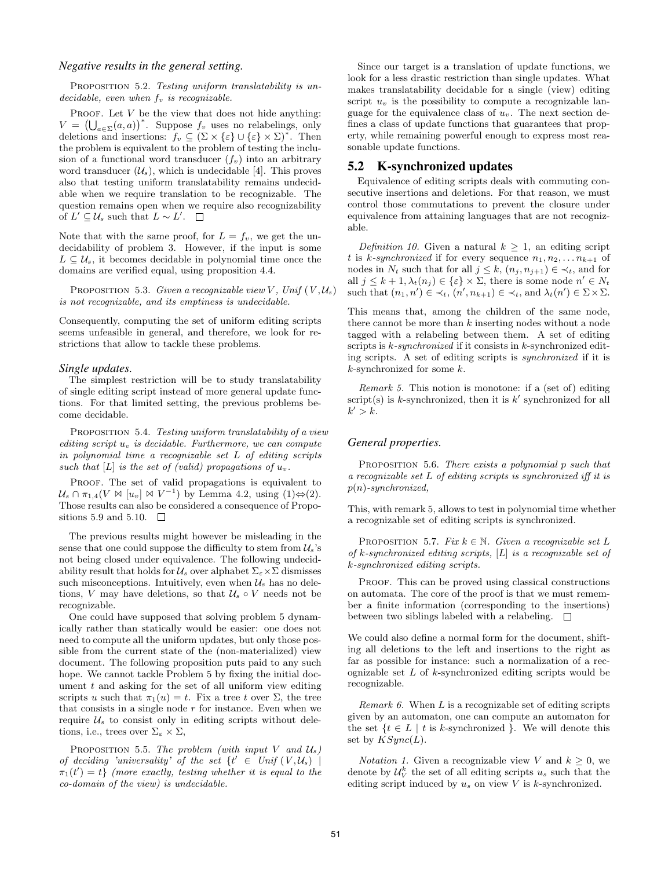### *Negative results in the general setting.*

PROPOSITION 5.2. Testing uniform translatability is undecidable, even when  $f_v$  is recognizable.

PROOF. Let  $V$  be the view that does not hide anything:  $V = (\bigcup_{a \in \Sigma} (a, a))^*$ . Suppose  $f_v$  uses no relabelings, only deletions and insertions:  $f_v \subseteq (\Sigma \times \{\varepsilon\} \cup \{\varepsilon\} \times \Sigma)^*$ . Then the problem is equivalent to the problem of testing the inclusion of a functional word transducer  $(f_v)$  into an arbitrary word transducer  $(\mathcal{U}_s)$ , which is undecidable [4]. This proves also that testing uniform translatability remains undecidable when we require translation to be recognizable. The question remains open when we require also recognizability of  $L' \subseteq \mathcal{U}_s$  such that  $L \sim L'.$ 

Note that with the same proof, for  $L = f_v$ , we get the undecidability of problem 3. However, if the input is some  $L \subseteq \mathcal{U}_s$ , it becomes decidable in polynomial time once the domains are verified equal, using proposition 4.4.

PROPOSITION 5.3. Given a recognizable view V, Unif  $(V, \mathcal{U}_s)$ is not recognizable, and its emptiness is undecidable.

Consequently, computing the set of uniform editing scripts seems unfeasible in general, and therefore, we look for restrictions that allow to tackle these problems.

#### *Single updates.*

The simplest restriction will be to study translatability of single editing script instead of more general update functions. For that limited setting, the previous problems become decidable.

PROPOSITION 5.4. Testing uniform translatability of a view editing script  $u_v$  is decidable. Furthermore, we can compute in polynomial time a recognizable set L of editing scripts such that [L] is the set of (valid) propagations of  $u_v$ .

PROOF. The set of valid propagations is equivalent to  $\mathcal{U}_s \cap \pi_{1,4}(V \bowtie [u_v] \bowtie V^{-1})$  by Lemma 4.2, using  $(1) \Leftrightarrow (2)$ . Those results can also be considered a consequence of Propositions 5.9 and 5.10.  $\Box$ 

The previous results might however be misleading in the sense that one could suppose the difficulty to stem from  $\mathcal{U}_s$ 's not being closed under equivalence. The following undecidability result that holds for  $\mathcal{U}_s$  over alphabet  $\Sigma_\varepsilon \times \Sigma$  dismisses such misconceptions. Intuitively, even when  $\mathcal{U}_s$  has no deletions, V may have deletions, so that  $\mathcal{U}_s \circ V$  needs not be recognizable.

One could have supposed that solving problem 5 dynamically rather than statically would be easier: one does not need to compute all the uniform updates, but only those possible from the current state of the (non-materialized) view document. The following proposition puts paid to any such hope. We cannot tackle Problem 5 by fixing the initial document  $t$  and asking for the set of all uniform view editing scripts u such that  $\pi_1(u) = t$ . Fix a tree t over  $\Sigma$ , the tree that consists in a single node  $r$  for instance. Even when we require  $\mathcal{U}_s$  to consist only in editing scripts without deletions, i.e., trees over  $\Sigma_{\varepsilon} \times \Sigma$ ,

PROPOSITION 5.5. The problem (with input V and  $\mathcal{U}_s$ ) of deciding 'universality' of the set  $\{t' \in Unif(V, U_s) \mid$  $\pi_1(t') = t$  (more exactly, testing whether it is equal to the co-domain of the view) is undecidable.

Since our target is a translation of update functions, we look for a less drastic restriction than single updates. What makes translatability decidable for a single (view) editing script  $u<sub>v</sub>$  is the possibility to compute a recognizable language for the equivalence class of  $u<sub>v</sub>$ . The next section defines a class of update functions that guarantees that property, while remaining powerful enough to express most reasonable update functions.

### 5.2 K-synchronized updates

Equivalence of editing scripts deals with commuting consecutive insertions and deletions. For that reason, we must control those commutations to prevent the closure under equivalence from attaining languages that are not recognizable.

Definition 10. Given a natural  $k \geq 1$ , an editing script t is k-synchronized if for every sequence  $n_1, n_2, \ldots n_{k+1}$  of nodes in  $N_t$  such that for all  $j \leq k$ ,  $(n_j, n_{j+1}) \in \prec_t$ , and for all  $j \leq k+1, \lambda_t(n_j) \in {\varepsilon} \times \Sigma$ , there is some node  $n' \in N_t$ such that  $(n_1, n') \in \prec_t, (n', n_{k+1}) \in \prec_t$ , and  $\lambda_t(n') \in \Sigma \times \Sigma$ .

This means that, among the children of the same node, there cannot be more than  $k$  inserting nodes without a node tagged with a relabeling between them. A set of editing scripts is  $k$ -synchronized if it consists in  $k$ -synchronized editing scripts. A set of editing scripts is synchronized if it is k-synchronized for some k.

Remark 5. This notion is monotone: if a (set of) editing script(s) is k-synchronized, then it is  $k'$  synchronized for all  $k' > k$ .

#### *General properties.*

PROPOSITION 5.6. There exists a polynomial p such that a recognizable set L of editing scripts is synchronized iff it is  $p(n)$ -synchronized,

This, with remark 5, allows to test in polynomial time whether a recognizable set of editing scripts is synchronized.

PROPOSITION 5.7. Fix  $k \in \mathbb{N}$ . Given a recognizable set L of k-synchronized editing scripts,  $[L]$  is a recognizable set of k-synchronized editing scripts.

PROOF. This can be proved using classical constructions on automata. The core of the proof is that we must remember a finite information (corresponding to the insertions) between two siblings labeled with a relabeling.  $\square$ 

We could also define a normal form for the document, shifting all deletions to the left and insertions to the right as far as possible for instance: such a normalization of a recognizable set L of k-synchronized editing scripts would be recognizable.

Remark  $6$ . When  $L$  is a recognizable set of editing scripts given by an automaton, one can compute an automaton for the set  $\{t \in L \mid t \text{ is } k\text{-synchronized }\}$ . We will denote this set by  $KSync(L)$ .

*Notation 1.* Given a recognizable view V and  $k \geq 0$ , we denote by  $\mathcal{U}_V^k$  the set of all editing scripts  $u_s$  such that the editing script induced by  $u_s$  on view V is k-synchronized.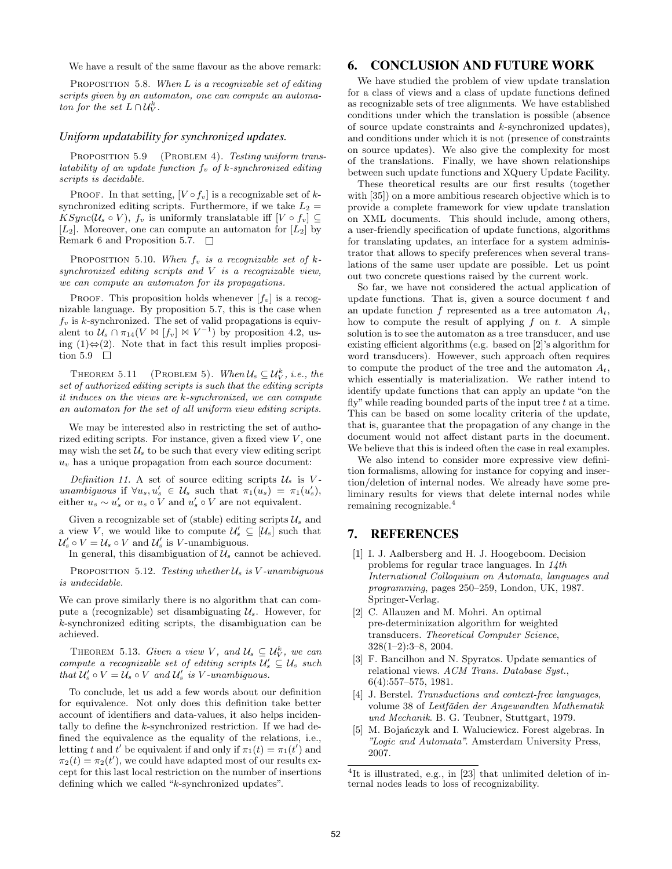We have a result of the same flavour as the above remark:

PROPOSITION 5.8. When  $L$  is a recognizable set of editing scripts given by an automaton, one can compute an automaton for the set  $L \cap \mathcal{U}_V^k$ .

#### *Uniform updatability for synchronized updates.*

PROPOSITION 5.9 (PROBLEM 4). Testing uniform translatability of an update function  $f_v$  of k-synchronized editing scripts is decidable.

PROOF. In that setting,  $[V \circ f_v]$  is a recognizable set of ksynchronized editing scripts. Furthermore, if we take  $L_2 =$  $KSync(\mathcal{U}_s \circ V), f_v$  is uniformly translatable iff  $[V \circ f_v] \subseteq$ [ $L_2$ ]. Moreover, one can compute an automaton for  $[L_2]$  by Remark 6 and Proposition 5.7.  $\Box$ 

PROPOSITION 5.10. When  $f_v$  is a recognizable set of  $k$ synchronized editing scripts and V is a recognizable view, we can compute an automaton for its propagations.

PROOF. This proposition holds whenever  $[f_v]$  is a recognizable language. By proposition 5.7, this is the case when  $f_v$  is k-synchronized. The set of valid propagations is equivalent to  $\mathcal{U}_s \cap \pi_{14}(V \bowtie [f_v] \bowtie V^{-1})$  by proposition 4.2, using  $(1) \Leftrightarrow (2)$ . Note that in fact this result implies proposition 5.9  $\Box$ 

THEOREM 5.11 (PROBLEM 5). When  $\mathcal{U}_s \subseteq \mathcal{U}_V^k$ , i.e., the set of authorized editing scripts is such that the editing scripts it induces on the views are k-synchronized, we can compute an automaton for the set of all uniform view editing scripts.

We may be interested also in restricting the set of authorized editing scripts. For instance, given a fixed view  $V$ , one may wish the set  $\mathcal{U}_s$  to be such that every view editing script  $u<sub>v</sub>$  has a unique propagation from each source document:

Definition 11. A set of source editing scripts  $\mathcal{U}_s$  is Vunambiguous if  $\forall u_s, u'_s \in \mathcal{U}_s$  such that  $\pi_1(u_s) = \pi_1(u'_s)$ , either  $u_s \sim u'_s$  or  $u_s \circ V$  and  $u'_s \circ V$  are not equivalent.

Given a recognizable set of (stable) editing scripts  $\mathcal{U}_s$  and a view V, we would like to compute  $\mathcal{U}'_s \subseteq [\mathcal{U}_s]$  such that  $\mathcal{U}'_s \circ V = \mathcal{U}_s \circ V$  and  $\mathcal{U}'_s$  is V-unambiguous.

In general, this disambiguation of  $\mathcal{U}_s$  cannot be achieved.

PROPOSITION 5.12. Testing whether  $\mathcal{U}_s$  is V-unambiguous is undecidable.

We can prove similarly there is no algorithm that can compute a (recognizable) set disambiguating  $\mathcal{U}_s$ . However, for k-synchronized editing scripts, the disambiguation can be achieved.

THEOREM 5.13. Given a view V, and  $\mathcal{U}_s \subseteq \mathcal{U}_V^k$ , we can compute a recognizable set of editing scripts  $\mathcal{U}'_s \subseteq \mathcal{U}_s$  such that  $\mathcal{U}'_s \circ V = \mathcal{U}_s \circ V$  and  $\mathcal{U}'_s$  is V-unambiguous.

To conclude, let us add a few words about our definition for equivalence. Not only does this definition take better account of identifiers and data-values, it also helps incidentally to define the k-synchronized restriction. If we had defined the equivalence as the equality of the relations, i.e., letting t and t' be equivalent if and only if  $\pi_1(t) = \pi_1(t')$  and  $\pi_2(t) = \pi_2(t')$ , we could have adapted most of our results except for this last local restriction on the number of insertions defining which we called "k-synchronized updates".

# 6. CONCLUSION AND FUTURE WORK

We have studied the problem of view update translation for a class of views and a class of update functions defined as recognizable sets of tree alignments. We have established conditions under which the translation is possible (absence of source update constraints and k-synchronized updates), and conditions under which it is not (presence of constraints on source updates). We also give the complexity for most of the translations. Finally, we have shown relationships between such update functions and XQuery Update Facility.

These theoretical results are our first results (together with [35]) on a more ambitious research objective which is to provide a complete framework for view update translation on XML documents. This should include, among others, a user-friendly specification of update functions, algorithms for translating updates, an interface for a system administrator that allows to specify preferences when several translations of the same user update are possible. Let us point out two concrete questions raised by the current work.

So far, we have not considered the actual application of update functions. That is, given a source document  $t$  and an update function f represented as a tree automaton  $A_t$ , how to compute the result of applying  $f$  on  $t$ . A simple solution is to see the automaton as a tree transducer, and use existing efficient algorithms (e.g. based on [2]'s algorithm for word transducers). However, such approach often requires to compute the product of the tree and the automaton  $A_t$ , which essentially is materialization. We rather intend to identify update functions that can apply an update "on the fly" while reading bounded parts of the input tree  $t$  at a time. This can be based on some locality criteria of the update, that is, guarantee that the propagation of any change in the document would not affect distant parts in the document. We believe that this is indeed often the case in real examples.

We also intend to consider more expressive view definition formalisms, allowing for instance for copying and insertion/deletion of internal nodes. We already have some preliminary results for views that delete internal nodes while remaining recognizable.<sup>4</sup>

# 7. REFERENCES

- [1] I. J. Aalbersberg and H. J. Hoogeboom. Decision problems for regular trace languages. In 14th International Colloquium on Automata, languages and programming, pages 250–259, London, UK, 1987. Springer-Verlag.
- [2] C. Allauzen and M. Mohri. An optimal pre-determinization algorithm for weighted transducers. Theoretical Computer Science, 328(1–2):3–8, 2004.
- [3] F. Bancilhon and N. Spyratos. Update semantics of relational views. ACM Trans. Database Syst., 6(4):557–575, 1981.
- [4] J. Berstel. Transductions and context-free languages, volume 38 of Leitfäden der Angewandten Mathematik und Mechanik. B. G. Teubner, Stuttgart, 1979.
- [5] M. Bojańczyk and I. Waluciewicz. Forest algebras. In "Logic and Automata". Amsterdam University Press, 2007.

<sup>&</sup>lt;sup>4</sup>It is illustrated, e.g., in [23] that unlimited deletion of internal nodes leads to loss of recognizability.